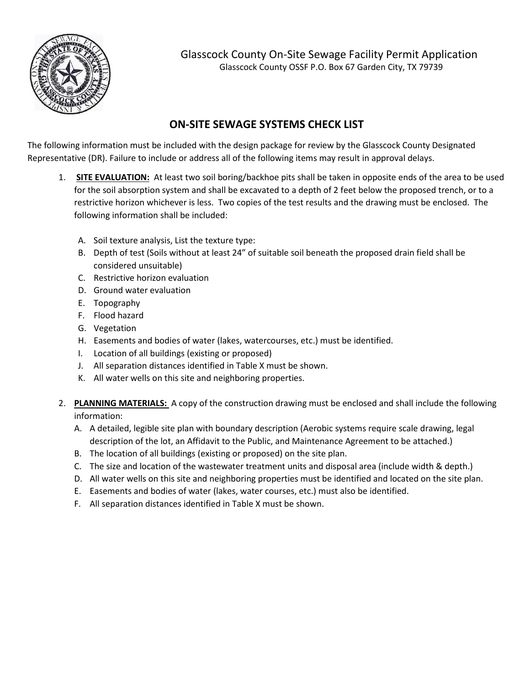

Glasscock County On-Site Sewage Facility Permit Application Glasscock County OSSF P.O. Box 67 Garden City, TX 79739

## **ON-SITE SEWAGE SYSTEMS CHECK LIST**

The following information must be included with the design package for review by the Glasscock County Designated Representative (DR). Failure to include or address all of the following items may result in approval delays.

- 1. **SITE EVALUATION:** At least two soil boring/backhoe pits shall be taken in opposite ends of the area to be used for the soil absorption system and shall be excavated to a depth of 2 feet below the proposed trench, or to a restrictive horizon whichever is less. Two copies of the test results and the drawing must be enclosed. The following information shall be included:
	- A. Soil texture analysis, List the texture type:
	- B. Depth of test (Soils without at least 24" of suitable soil beneath the proposed drain field shall be considered unsuitable)
	- C. Restrictive horizon evaluation
	- D. Ground water evaluation
	- E. Topography
	- F. Flood hazard
	- G. Vegetation
	- H. Easements and bodies of water (lakes, watercourses, etc.) must be identified.
	- I. Location of all buildings (existing or proposed)
	- J. All separation distances identified in Table X must be shown.
	- K. All water wells on this site and neighboring properties.
- 2. **PLANNING MATERIALS:** A copy of the construction drawing must be enclosed and shall include the following information:
	- A. A detailed, legible site plan with boundary description (Aerobic systems require scale drawing, legal description of the lot, an Affidavit to the Public, and Maintenance Agreement to be attached.)
	- B. The location of all buildings (existing or proposed) on the site plan.
	- C. The size and location of the wastewater treatment units and disposal area (include width & depth.)
	- D. All water wells on this site and neighboring properties must be identified and located on the site plan.
	- E. Easements and bodies of water (lakes, water courses, etc.) must also be identified.
	- F. All separation distances identified in Table X must be shown.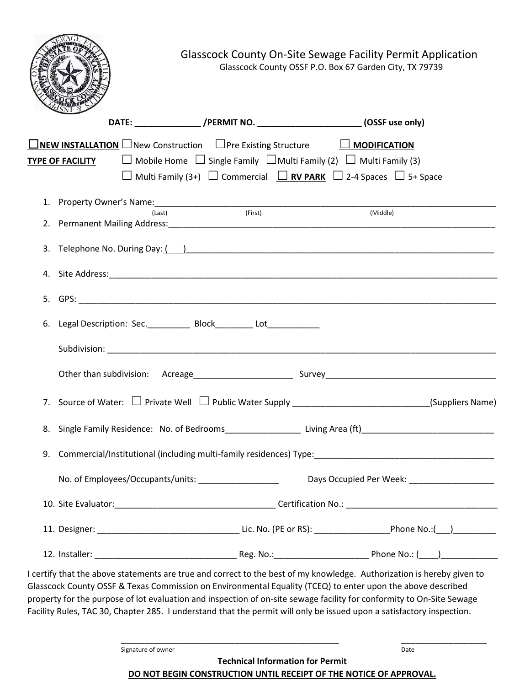

Glasscock County On-Site Sewage Facility Permit Application Glasscock County OSSF P.O. Box 67 Garden City, TX 79739

|    | DATE: ___________________/PERMIT NO. ____________________________(OSSF use only)                                                                                                                                                                                                                                                                                                                                                                                                        |
|----|-----------------------------------------------------------------------------------------------------------------------------------------------------------------------------------------------------------------------------------------------------------------------------------------------------------------------------------------------------------------------------------------------------------------------------------------------------------------------------------------|
|    | $\square$ NEW INSTALLATION $\square$ New Construction $\square$ Pre Existing Structure $\square$ MODIFICATION<br>$\Box$ Mobile Home $\Box$ Single Family $\Box$ Multi Family (2) $\Box$ Multi Family (3)<br><b>TYPE OF FACILITY</b><br>$\Box$ Multi Family (3+) $\Box$ Commercial $\Box$ RV PARK $\Box$ 2-4 Spaces $\Box$ 5+ Space                                                                                                                                                      |
|    | (First)<br>(Middle)<br>(Last)                                                                                                                                                                                                                                                                                                                                                                                                                                                           |
| 2. |                                                                                                                                                                                                                                                                                                                                                                                                                                                                                         |
|    |                                                                                                                                                                                                                                                                                                                                                                                                                                                                                         |
|    |                                                                                                                                                                                                                                                                                                                                                                                                                                                                                         |
|    |                                                                                                                                                                                                                                                                                                                                                                                                                                                                                         |
|    | 6. Legal Description: Sec. ______________ Block__________ Lot___________________                                                                                                                                                                                                                                                                                                                                                                                                        |
|    |                                                                                                                                                                                                                                                                                                                                                                                                                                                                                         |
|    |                                                                                                                                                                                                                                                                                                                                                                                                                                                                                         |
| 7. | Source of Water: $\Box$ Private Well $\Box$ Public Water Supply _______________________________(Suppliers Name)                                                                                                                                                                                                                                                                                                                                                                         |
| 8. | Single Family Residence: No. of Bedrooms_________________________Living Area (ft)_____________________________                                                                                                                                                                                                                                                                                                                                                                          |
| 9. |                                                                                                                                                                                                                                                                                                                                                                                                                                                                                         |
|    |                                                                                                                                                                                                                                                                                                                                                                                                                                                                                         |
|    | 10. Site Evaluator: Certification No.: Certification No.:                                                                                                                                                                                                                                                                                                                                                                                                                               |
|    |                                                                                                                                                                                                                                                                                                                                                                                                                                                                                         |
|    |                                                                                                                                                                                                                                                                                                                                                                                                                                                                                         |
|    | I certify that the above statements are true and correct to the best of my knowledge. Authorization is hereby given to<br>Glasscock County OSSF & Texas Commission on Environmental Equality (TCEQ) to enter upon the above described<br>property for the purpose of lot evaluation and inspection of on-site sewage facility for conformity to On-Site Sewage<br>Facility Rules, TAC 30, Chapter 285. I understand that the permit will only be issued upon a satisfactory inspection. |
|    | Signature of owner<br>Date<br>Toobnical Information for Dormit                                                                                                                                                                                                                                                                                                                                                                                                                          |

**Technical Information for Permit DO NOT BEGIN CONSTRUCTION UNTIL RECEIPT OF THE NOTICE OF APPROVAL.**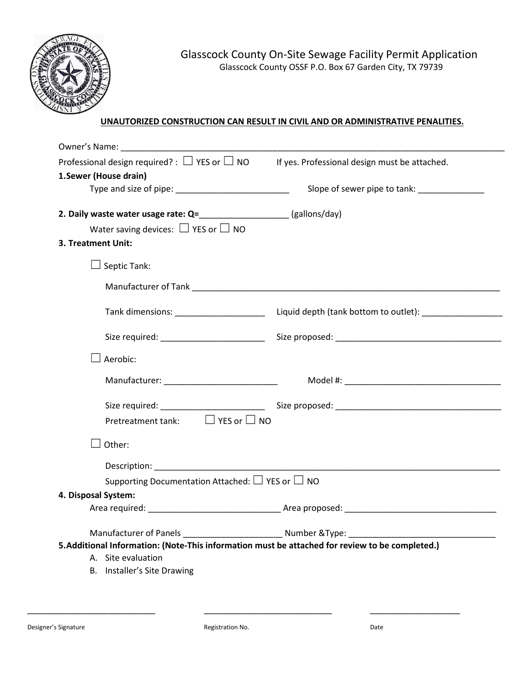

#### **UNAUTORIZED CONSTRUCTION CAN RESULT IN CIVIL AND OR ADMINISTRATIVE PENALITIES.**

| Owner's Name: Name:                                                                                                                                                                                                            |                                               |
|--------------------------------------------------------------------------------------------------------------------------------------------------------------------------------------------------------------------------------|-----------------------------------------------|
| Professional design required? : $\Box$ YES or $\Box$ NO                                                                                                                                                                        | If yes. Professional design must be attached. |
| 1. Sewer (House drain)                                                                                                                                                                                                         |                                               |
|                                                                                                                                                                                                                                | Slope of sewer pipe to tank: ______________   |
|                                                                                                                                                                                                                                |                                               |
| Water saving devices: $\Box$ YES or $\Box$ NO                                                                                                                                                                                  |                                               |
| 3. Treatment Unit:                                                                                                                                                                                                             |                                               |
| $\perp$ Septic Tank:                                                                                                                                                                                                           |                                               |
|                                                                                                                                                                                                                                |                                               |
|                                                                                                                                                                                                                                |                                               |
|                                                                                                                                                                                                                                |                                               |
| Aerobic:                                                                                                                                                                                                                       |                                               |
| Manufacturer: ____________________________                                                                                                                                                                                     |                                               |
|                                                                                                                                                                                                                                |                                               |
| Pretreatment tank: $\Box$ YES or $\Box$ NO                                                                                                                                                                                     |                                               |
| Other:                                                                                                                                                                                                                         |                                               |
| Description: New York Products and Products and Products and Products and Products and Products and Products and Products and Products and Products and Products and Products and Products and Products and Products and Produ |                                               |
| Supporting Documentation Attached: $\Box$ YES or $\Box$ NO                                                                                                                                                                     |                                               |
| 4. Disposal System:                                                                                                                                                                                                            |                                               |
|                                                                                                                                                                                                                                |                                               |
|                                                                                                                                                                                                                                |                                               |
| 5. Additional Information: (Note-This information must be attached for review to be completed.)                                                                                                                                |                                               |
| A. Site evaluation                                                                                                                                                                                                             |                                               |
| B. Installer's Site Drawing                                                                                                                                                                                                    |                                               |
|                                                                                                                                                                                                                                |                                               |

\_\_\_\_\_\_\_\_\_\_\_\_\_\_\_\_\_\_\_\_\_\_\_\_\_\_\_ \_\_\_\_\_\_\_\_\_\_\_\_\_\_\_\_\_\_\_\_\_\_\_\_\_\_\_ \_\_\_\_\_\_\_\_\_\_\_\_\_\_\_\_\_\_\_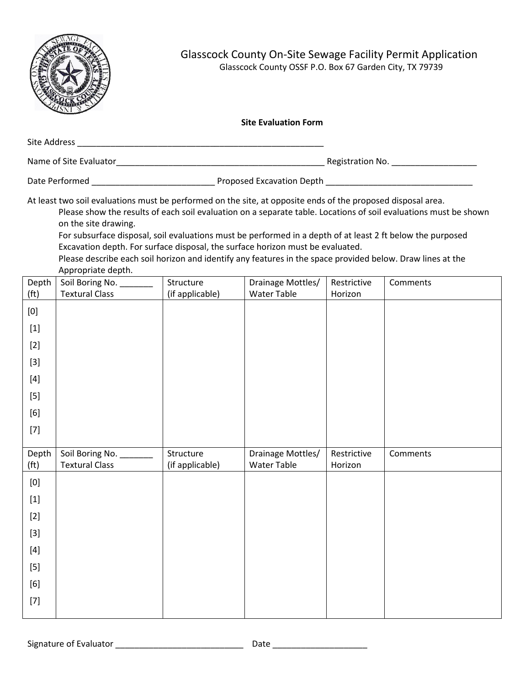

Appropriate depth.

#### **Site Evaluation Form**

| Site Address           |                           |  |
|------------------------|---------------------------|--|
| Name of Site Evaluator | Registration No.          |  |
| Date Performed         | Proposed Excavation Depth |  |

At least two soil evaluations must be performed on the site, at opposite ends of the proposed disposal area. Please show the results of each soil evaluation on a separate table. Locations of soil evaluations must be shown on the site drawing. For subsurface disposal, soil evaluations must be performed in a depth of at least 2 ft below the purposed

Excavation depth. For surface disposal, the surface horizon must be evaluated. Please describe each soil horizon and identify any features in the space provided below. Draw lines at the

| Depth                                                                                                                                                                                                                                                                                                                                                                                                                                                                                                                                                                                                                                                                                                                                | "<br>Soil Boring No.                         | Structure                    | Drainage Mottles/                | Restrictive            | Comments |
|--------------------------------------------------------------------------------------------------------------------------------------------------------------------------------------------------------------------------------------------------------------------------------------------------------------------------------------------------------------------------------------------------------------------------------------------------------------------------------------------------------------------------------------------------------------------------------------------------------------------------------------------------------------------------------------------------------------------------------------|----------------------------------------------|------------------------------|----------------------------------|------------------------|----------|
| (f <sup>t</sup> )                                                                                                                                                                                                                                                                                                                                                                                                                                                                                                                                                                                                                                                                                                                    | <b>Textural Class</b>                        | (if applicable)              | Water Table                      | Horizon                |          |
| $\left[0\right]$                                                                                                                                                                                                                                                                                                                                                                                                                                                                                                                                                                                                                                                                                                                     |                                              |                              |                                  |                        |          |
|                                                                                                                                                                                                                                                                                                                                                                                                                                                                                                                                                                                                                                                                                                                                      |                                              |                              |                                  |                        |          |
| $[2]$                                                                                                                                                                                                                                                                                                                                                                                                                                                                                                                                                                                                                                                                                                                                |                                              |                              |                                  |                        |          |
| $[3] % \begin{center} \includegraphics[width=\linewidth]{imagesSupplemental/Imetad-Architecture.png} \end{center} % \vspace*{-1em} \caption{The image shows the number of parameters of the estimators in the image. The left is the number of parameters in the image.} \vspace*{-1em} \label{fig:lim} %$                                                                                                                                                                                                                                                                                                                                                                                                                           |                                              |                              |                                  |                        |          |
| $[4] % \includegraphics[width=0.9\columnwidth]{figures/fig_4} \caption{A graph shows a function of the number of times, and the number of times, in the left and right.} \label{fig:time} %$                                                                                                                                                                                                                                                                                                                                                                                                                                                                                                                                         |                                              |                              |                                  |                        |          |
| $[5] % \includegraphics[width=0.9\columnwidth]{figures/fig_10.pdf} \caption{The 3D (top) of the estimators in the left and right. The left and right is the same as in the right.} \label{fig:fig:10}$                                                                                                                                                                                                                                                                                                                                                                                                                                                                                                                               |                                              |                              |                                  |                        |          |
| $[6] % \begin{center} \includegraphics[width=\linewidth]{imagesSupplemental/Imit} \caption{The image shows the image shows a function of the number of times.} \label{fig:limal} \end{center}$                                                                                                                                                                                                                                                                                                                                                                                                                                                                                                                                       |                                              |                              |                                  |                        |          |
| $[7] \centering% \includegraphics[width=1.0\textwidth]{images/TrDiC-Architecture.png} \caption{The 3D (top) and the 4D (bottom) of the 3D (bottom) and the 4D (bottom) of the 3D (bottom) and the 4D (bottom) of the 3D (bottom) and the 4D (bottom) of the 3D (bottom).} \label{TrDiC-Architecture}$                                                                                                                                                                                                                                                                                                                                                                                                                                |                                              |                              |                                  |                        |          |
|                                                                                                                                                                                                                                                                                                                                                                                                                                                                                                                                                                                                                                                                                                                                      |                                              |                              |                                  |                        |          |
|                                                                                                                                                                                                                                                                                                                                                                                                                                                                                                                                                                                                                                                                                                                                      |                                              |                              |                                  |                        |          |
| Depth<br>(f <sup>t</sup> )                                                                                                                                                                                                                                                                                                                                                                                                                                                                                                                                                                                                                                                                                                           | Soil Boring No. ___<br><b>Textural Class</b> | Structure<br>(if applicable) | Drainage Mottles/<br>Water Table | Restrictive<br>Horizon | Comments |
| $\left[0\right]$                                                                                                                                                                                                                                                                                                                                                                                                                                                                                                                                                                                                                                                                                                                     |                                              |                              |                                  |                        |          |
|                                                                                                                                                                                                                                                                                                                                                                                                                                                                                                                                                                                                                                                                                                                                      |                                              |                              |                                  |                        |          |
| $[2]$                                                                                                                                                                                                                                                                                                                                                                                                                                                                                                                                                                                                                                                                                                                                |                                              |                              |                                  |                        |          |
|                                                                                                                                                                                                                                                                                                                                                                                                                                                                                                                                                                                                                                                                                                                                      |                                              |                              |                                  |                        |          |
| $[4] % \includegraphics[width=0.9\columnwidth]{figures/fig_4} \caption{A graph shows a function of the number of times, and the number of times, in the left and right.} \label{fig:time} %$                                                                                                                                                                                                                                                                                                                                                                                                                                                                                                                                         |                                              |                              |                                  |                        |          |
| $[5] % \includegraphics[width=0.9\columnwidth]{figures/fig_10.pdf} \caption{The 3D (top) of the estimators in the left and right. The left and right is the same as in the right.} \label{fig:fig:10}$                                                                                                                                                                                                                                                                                                                                                                                                                                                                                                                               |                                              |                              |                                  |                        |          |
| $[6] % \begin{center} \includegraphics[width=\linewidth]{imagesSupplemental/Imetad-Architecture.png} \end{center} \caption{The image shows the image shows a single number of three different types of the image. The image shows the image shows the image shows a single number of 3000 and the image shows a single number of 30000 and the image shows a single number of 300000 and the image shows a single number of 3000000 and the image shows a single number of 30000000 and the image shows a single number of 300000000 and the image shows a single number of 300000000 and the image shows a single number of 3000000000 and the image shows a single number of 30000000000 and the image shows a single number of 3$ |                                              |                              |                                  |                        |          |
| $[7] \centering% \includegraphics[width=1.0\textwidth]{images/TrDiC-Architecture.png} \caption{The 3D (top) and the 4D (bottom) of the 3D (bottom) and the 4D (bottom) of the 3D (bottom) and the 4D (bottom) of the 3D (bottom) and the 4D (bottom) of the 3D (bottom).} \label{TrDiC-Architecture}$                                                                                                                                                                                                                                                                                                                                                                                                                                |                                              |                              |                                  |                        |          |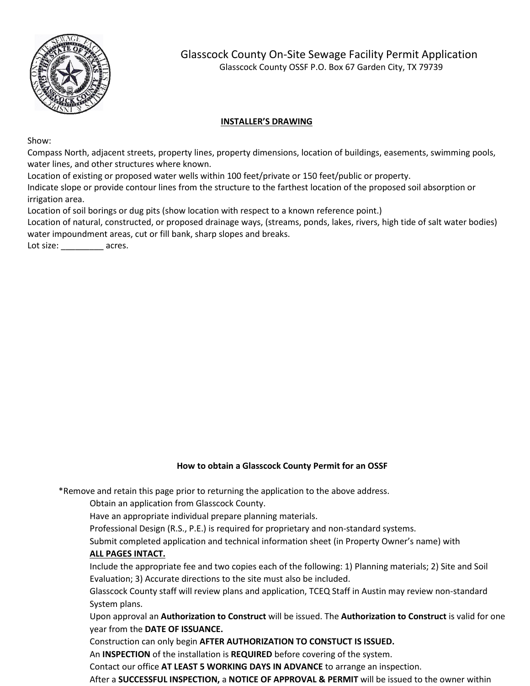

#### **INSTALLER'S DRAWING**

Show:

Compass North, adjacent streets, property lines, property dimensions, location of buildings, easements, swimming pools, water lines, and other structures where known.

Location of existing or proposed water wells within 100 feet/private or 150 feet/public or property.

Indicate slope or provide contour lines from the structure to the farthest location of the proposed soil absorption or irrigation area.

Location of soil borings or dug pits (show location with respect to a known reference point.)

Location of natural, constructed, or proposed drainage ways, (streams, ponds, lakes, rivers, high tide of salt water bodies) water impoundment areas, cut or fill bank, sharp slopes and breaks.

Lot size: acres.

#### **How to obtain a Glasscock County Permit for an OSSF**

\*Remove and retain this page prior to returning the application to the above address.

Obtain an application from Glasscock County.

Have an appropriate individual prepare planning materials.

Professional Design (R.S., P.E.) is required for proprietary and non-standard systems.

Submit completed application and technical information sheet (in Property Owner's name) with

### **ALL PAGES INTACT.**

Include the appropriate fee and two copies each of the following: 1) Planning materials; 2) Site and Soil Evaluation; 3) Accurate directions to the site must also be included.

Glasscock County staff will review plans and application, TCEQ Staff in Austin may review non-standard System plans.

Upon approval an **Authorization to Construct** will be issued. The **Authorization to Construct** is valid for one year from the **DATE OF ISSUANCE.**

Construction can only begin **AFTER AUTHORIZATION TO CONSTUCT IS ISSUED.**

An **INSPECTION** of the installation is **REQUIRED** before covering of the system.

Contact our office **AT LEAST 5 WORKING DAYS IN ADVANCE** to arrange an inspection.

After a **SUCCESSFUL INSPECTION,** a **NOTICE OF APPROVAL & PERMIT** will be issued to the owner within